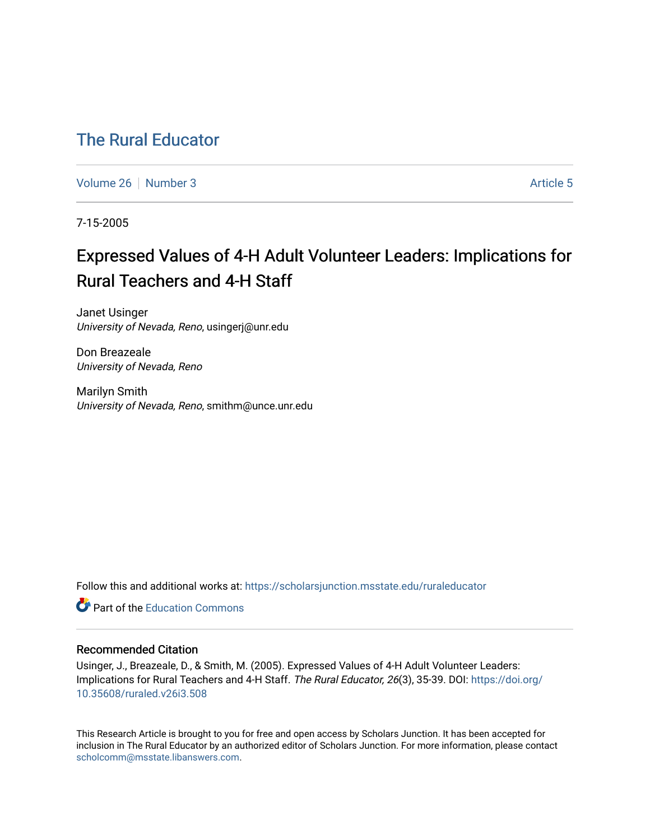## [The Rural Educator](https://scholarsjunction.msstate.edu/ruraleducator)

[Volume 26](https://scholarsjunction.msstate.edu/ruraleducator/vol26) [Number 3](https://scholarsjunction.msstate.edu/ruraleducator/vol26/iss3) [Article 5](https://scholarsjunction.msstate.edu/ruraleducator/vol26/iss3/5) Article 5

7-15-2005

# Expressed Values of 4-H Adult Volunteer Leaders: Implications for Rural Teachers and 4-H Staff

Janet Usinger University of Nevada, Reno, usingerj@unr.edu

Don Breazeale University of Nevada, Reno

Marilyn Smith University of Nevada, Reno, smithm@unce.unr.edu

Follow this and additional works at: [https://scholarsjunction.msstate.edu/ruraleducator](https://scholarsjunction.msstate.edu/ruraleducator?utm_source=scholarsjunction.msstate.edu%2Fruraleducator%2Fvol26%2Fiss3%2F5&utm_medium=PDF&utm_campaign=PDFCoverPages)

**C** Part of the [Education Commons](http://network.bepress.com/hgg/discipline/784?utm_source=scholarsjunction.msstate.edu%2Fruraleducator%2Fvol26%2Fiss3%2F5&utm_medium=PDF&utm_campaign=PDFCoverPages)

#### Recommended Citation

Usinger, J., Breazeale, D., & Smith, M. (2005). Expressed Values of 4-H Adult Volunteer Leaders: Implications for Rural Teachers and 4-H Staff. The Rural Educator, 26(3), 35-39. DOI: [https://doi.org/](https://doi.org/10.35608/ruraled.v26i3.508) [10.35608/ruraled.v26i3.508](https://doi.org/10.35608/ruraled.v26i3.508)

This Research Article is brought to you for free and open access by Scholars Junction. It has been accepted for inclusion in The Rural Educator by an authorized editor of Scholars Junction. For more information, please contact [scholcomm@msstate.libanswers.com.](mailto:scholcomm@msstate.libanswers.com)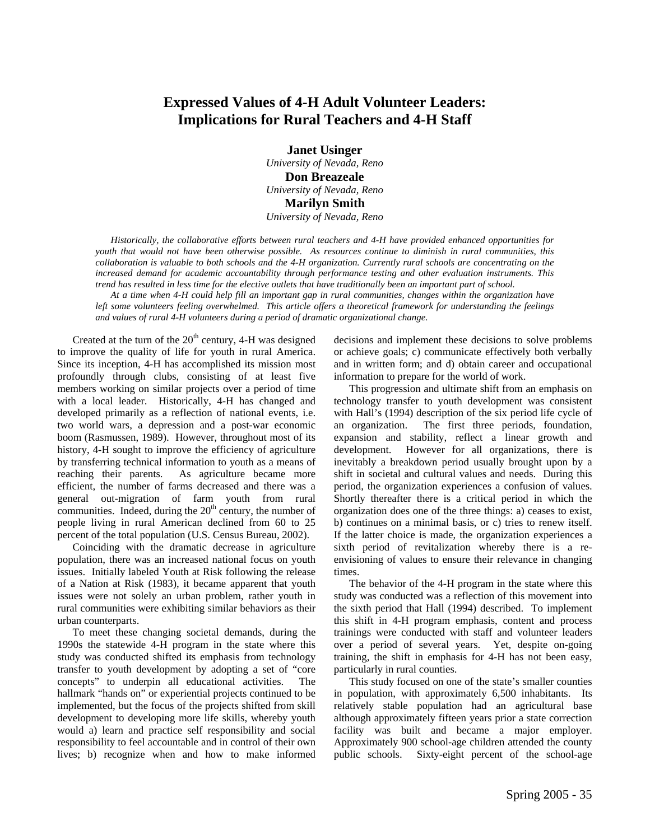### **Expressed Values of 4-H Adult Volunteer Leaders: Implications for Rural Teachers and 4-H Staff**

**Janet Usinger**  *University of Nevada, Reno*  **Don Breazeale**  *University of Nevada, Reno*  **Marilyn Smith**  *University of Nevada, Reno* 

*Historically, the collaborative efforts between rural teachers and 4-H have provided enhanced opportunities for youth that would not have been otherwise possible. As resources continue to diminish in rural communities, this collaboration is valuable to both schools and the 4-H organization. Currently rural schools are concentrating on the increased demand for academic accountability through performance testing and other evaluation instruments. This trend has resulted in less time for the elective outlets that have traditionally been an important part of school.* 

*At a time when 4-H could help fill an important gap in rural communities, changes within the organization have*  left some volunteers feeling overwhelmed. This article offers a theoretical framework for understanding the feelings *and values of rural 4-H volunteers during a period of dramatic organizational change.* 

Created at the turn of the  $20<sup>th</sup>$  century, 4-H was designed to improve the quality of life for youth in rural America. Since its inception, 4-H has accomplished its mission most profoundly through clubs, consisting of at least five members working on similar projects over a period of time with a local leader. Historically, 4-H has changed and developed primarily as a reflection of national events, i.e. two world wars, a depression and a post-war economic boom (Rasmussen, 1989). However, throughout most of its history, 4-H sought to improve the efficiency of agriculture by transferring technical information to youth as a means of reaching their parents. As agriculture became more efficient, the number of farms decreased and there was a general out-migration of farm youth from rural communities. Indeed, during the  $20<sup>th</sup>$  century, the number of people living in rural American declined from 60 to 25 percent of the total population (U.S. Census Bureau, 2002).

Coinciding with the dramatic decrease in agriculture population, there was an increased national focus on youth issues. Initially labeled Youth at Risk following the release of a Nation at Risk (1983), it became apparent that youth issues were not solely an urban problem, rather youth in rural communities were exhibiting similar behaviors as their urban counterparts.

To meet these changing societal demands, during the 1990s the statewide 4-H program in the state where this study was conducted shifted its emphasis from technology transfer to youth development by adopting a set of "core concepts" to underpin all educational activities. The hallmark "hands on" or experiential projects continued to be implemented, but the focus of the projects shifted from skill development to developing more life skills, whereby youth would a) learn and practice self responsibility and social responsibility to feel accountable and in control of their own lives; b) recognize when and how to make informed decisions and implement these decisions to solve problems or achieve goals; c) communicate effectively both verbally and in written form; and d) obtain career and occupational information to prepare for the world of work.

This progression and ultimate shift from an emphasis on technology transfer to youth development was consistent with Hall's (1994) description of the six period life cycle of an organization. The first three periods, foundation, expansion and stability, reflect a linear growth and development. However for all organizations, there is inevitably a breakdown period usually brought upon by a shift in societal and cultural values and needs. During this period, the organization experiences a confusion of values. Shortly thereafter there is a critical period in which the organization does one of the three things: a) ceases to exist, b) continues on a minimal basis, or c) tries to renew itself. If the latter choice is made, the organization experiences a sixth period of revitalization whereby there is a reenvisioning of values to ensure their relevance in changing times.

The behavior of the 4-H program in the state where this study was conducted was a reflection of this movement into the sixth period that Hall (1994) described. To implement this shift in 4-H program emphasis, content and process trainings were conducted with staff and volunteer leaders over a period of several years. Yet, despite on-going training, the shift in emphasis for 4-H has not been easy, particularly in rural counties.

This study focused on one of the state's smaller counties in population, with approximately 6,500 inhabitants. Its relatively stable population had an agricultural base although approximately fifteen years prior a state correction facility was built and became a major employer. Approximately 900 school-age children attended the county public schools. Sixty-eight percent of the school-age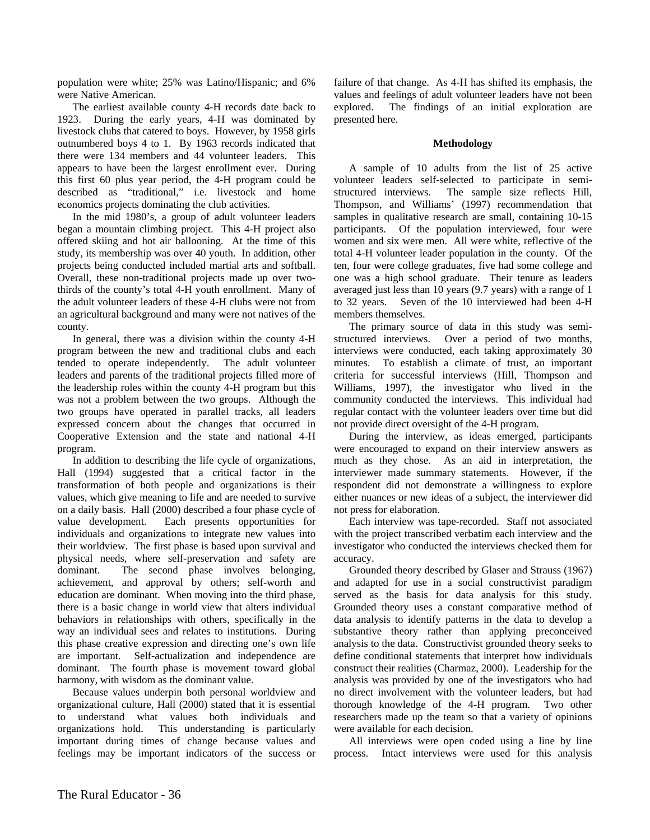population were white; 25% was Latino/Hispanic; and 6% were Native American.

The earliest available county 4-H records date back to 1923. During the early years, 4-H was dominated by livestock clubs that catered to boys. However, by 1958 girls outnumbered boys 4 to 1. By 1963 records indicated that there were 134 members and 44 volunteer leaders. This appears to have been the largest enrollment ever. During this first 60 plus year period, the 4-H program could be described as "traditional," i.e. livestock and home economics projects dominating the club activities.

In the mid 1980's, a group of adult volunteer leaders began a mountain climbing project. This 4-H project also offered skiing and hot air ballooning. At the time of this study, its membership was over 40 youth. In addition, other projects being conducted included martial arts and softball. Overall, these non-traditional projects made up over twothirds of the county's total 4-H youth enrollment. Many of the adult volunteer leaders of these 4-H clubs were not from an agricultural background and many were not natives of the county.

In general, there was a division within the county 4-H program between the new and traditional clubs and each tended to operate independently. The adult volunteer leaders and parents of the traditional projects filled more of the leadership roles within the county 4-H program but this was not a problem between the two groups. Although the two groups have operated in parallel tracks, all leaders expressed concern about the changes that occurred in Cooperative Extension and the state and national 4-H program.

In addition to describing the life cycle of organizations, Hall (1994) suggested that a critical factor in the transformation of both people and organizations is their values, which give meaning to life and are needed to survive on a daily basis. Hall (2000) described a four phase cycle of value development. Each presents opportunities for individuals and organizations to integrate new values into their worldview. The first phase is based upon survival and physical needs, where self-preservation and safety are dominant. The second phase involves belonging, achievement, and approval by others; self-worth and education are dominant. When moving into the third phase, there is a basic change in world view that alters individual behaviors in relationships with others, specifically in the way an individual sees and relates to institutions. During this phase creative expression and directing one's own life are important. Self-actualization and independence are dominant. The fourth phase is movement toward global harmony, with wisdom as the dominant value.

Because values underpin both personal worldview and organizational culture, Hall (2000) stated that it is essential to understand what values both individuals and organizations hold. This understanding is particularly important during times of change because values and feelings may be important indicators of the success or failure of that change. As 4-H has shifted its emphasis, the values and feelings of adult volunteer leaders have not been explored. The findings of an initial exploration are presented here.

#### **Methodology**

A sample of 10 adults from the list of 25 active volunteer leaders self-selected to participate in semistructured interviews. The sample size reflects Hill, Thompson, and Williams' (1997) recommendation that samples in qualitative research are small, containing 10-15 participants. Of the population interviewed, four were women and six were men. All were white, reflective of the total 4-H volunteer leader population in the county. Of the ten, four were college graduates, five had some college and one was a high school graduate. Their tenure as leaders averaged just less than 10 years (9.7 years) with a range of 1 to 32 years. Seven of the 10 interviewed had been 4-H members themselves.

The primary source of data in this study was semistructured interviews. Over a period of two months, interviews were conducted, each taking approximately 30 minutes. To establish a climate of trust, an important criteria for successful interviews (Hill, Thompson and Williams, 1997), the investigator who lived in the community conducted the interviews. This individual had regular contact with the volunteer leaders over time but did not provide direct oversight of the 4-H program.

During the interview, as ideas emerged, participants were encouraged to expand on their interview answers as much as they chose. As an aid in interpretation, the interviewer made summary statements. However, if the respondent did not demonstrate a willingness to explore either nuances or new ideas of a subject, the interviewer did not press for elaboration.

Each interview was tape-recorded. Staff not associated with the project transcribed verbatim each interview and the investigator who conducted the interviews checked them for accuracy.

Grounded theory described by Glaser and Strauss (1967) and adapted for use in a social constructivist paradigm served as the basis for data analysis for this study. Grounded theory uses a constant comparative method of data analysis to identify patterns in the data to develop a substantive theory rather than applying preconceived analysis to the data. Constructivist grounded theory seeks to define conditional statements that interpret how individuals construct their realities (Charmaz, 2000). Leadership for the analysis was provided by one of the investigators who had no direct involvement with the volunteer leaders, but had thorough knowledge of the 4-H program. Two other researchers made up the team so that a variety of opinions were available for each decision.

All interviews were open coded using a line by line process. Intact interviews were used for this analysis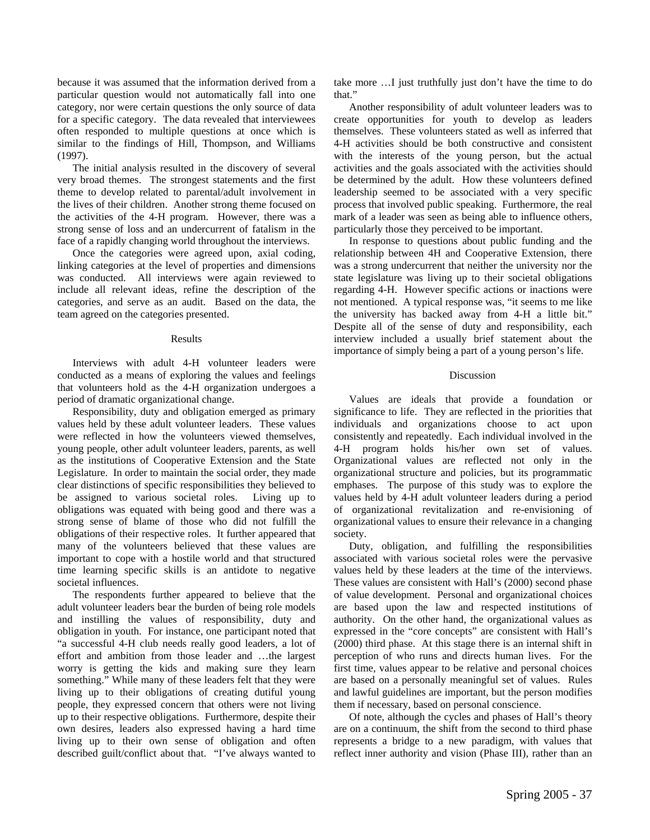because it was assumed that the information derived from a particular question would not automatically fall into one category, nor were certain questions the only source of data for a specific category. The data revealed that interviewees often responded to multiple questions at once which is similar to the findings of Hill, Thompson, and Williams (1997).

The initial analysis resulted in the discovery of several very broad themes. The strongest statements and the first theme to develop related to parental/adult involvement in the lives of their children. Another strong theme focused on the activities of the 4-H program. However, there was a strong sense of loss and an undercurrent of fatalism in the face of a rapidly changing world throughout the interviews.

Once the categories were agreed upon, axial coding, linking categories at the level of properties and dimensions was conducted. All interviews were again reviewed to include all relevant ideas, refine the description of the categories, and serve as an audit. Based on the data, the team agreed on the categories presented.

#### Results

Interviews with adult 4-H volunteer leaders were conducted as a means of exploring the values and feelings that volunteers hold as the 4-H organization undergoes a period of dramatic organizational change.

Responsibility, duty and obligation emerged as primary values held by these adult volunteer leaders. These values were reflected in how the volunteers viewed themselves, young people, other adult volunteer leaders, parents, as well as the institutions of Cooperative Extension and the State Legislature. In order to maintain the social order, they made clear distinctions of specific responsibilities they believed to be assigned to various societal roles. Living up to obligations was equated with being good and there was a strong sense of blame of those who did not fulfill the obligations of their respective roles. It further appeared that many of the volunteers believed that these values are important to cope with a hostile world and that structured time learning specific skills is an antidote to negative societal influences.

The respondents further appeared to believe that the adult volunteer leaders bear the burden of being role models and instilling the values of responsibility, duty and obligation in youth. For instance, one participant noted that "a successful 4-H club needs really good leaders, a lot of effort and ambition from those leader and …the largest worry is getting the kids and making sure they learn something." While many of these leaders felt that they were living up to their obligations of creating dutiful young people, they expressed concern that others were not living up to their respective obligations. Furthermore, despite their own desires, leaders also expressed having a hard time living up to their own sense of obligation and often described guilt/conflict about that. "I've always wanted to

take more …I just truthfully just don't have the time to do that."

Another responsibility of adult volunteer leaders was to create opportunities for youth to develop as leaders themselves. These volunteers stated as well as inferred that 4-H activities should be both constructive and consistent with the interests of the young person, but the actual activities and the goals associated with the activities should be determined by the adult. How these volunteers defined leadership seemed to be associated with a very specific process that involved public speaking. Furthermore, the real mark of a leader was seen as being able to influence others, particularly those they perceived to be important.

In response to questions about public funding and the relationship between 4H and Cooperative Extension, there was a strong undercurrent that neither the university nor the state legislature was living up to their societal obligations regarding 4-H. However specific actions or inactions were not mentioned. A typical response was, "it seems to me like the university has backed away from 4-H a little bit." Despite all of the sense of duty and responsibility, each interview included a usually brief statement about the importance of simply being a part of a young person's life.

#### Discussion

Values are ideals that provide a foundation or significance to life. They are reflected in the priorities that individuals and organizations choose to act upon consistently and repeatedly. Each individual involved in the 4-H program holds his/her own set of values. Organizational values are reflected not only in the organizational structure and policies, but its programmatic emphases. The purpose of this study was to explore the values held by 4-H adult volunteer leaders during a period of organizational revitalization and re-envisioning of organizational values to ensure their relevance in a changing society.

Duty, obligation, and fulfilling the responsibilities associated with various societal roles were the pervasive values held by these leaders at the time of the interviews. These values are consistent with Hall's (2000) second phase of value development. Personal and organizational choices are based upon the law and respected institutions of authority. On the other hand, the organizational values as expressed in the "core concepts" are consistent with Hall's (2000) third phase. At this stage there is an internal shift in perception of who runs and directs human lives. For the first time, values appear to be relative and personal choices are based on a personally meaningful set of values. Rules and lawful guidelines are important, but the person modifies them if necessary, based on personal conscience.

Of note, although the cycles and phases of Hall's theory are on a continuum, the shift from the second to third phase represents a bridge to a new paradigm, with values that reflect inner authority and vision (Phase III), rather than an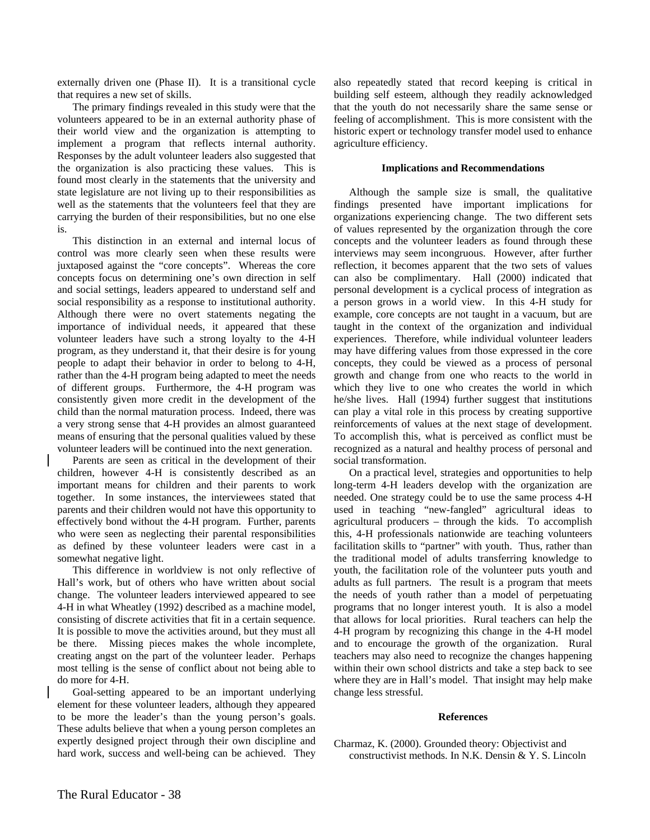externally driven one (Phase II). It is a transitional cycle that requires a new set of skills.

The primary findings revealed in this study were that the volunteers appeared to be in an external authority phase of their world view and the organization is attempting to implement a program that reflects internal authority. Responses by the adult volunteer leaders also suggested that the organization is also practicing these values. This is found most clearly in the statements that the university and state legislature are not living up to their responsibilities as well as the statements that the volunteers feel that they are carrying the burden of their responsibilities, but no one else is.

This distinction in an external and internal locus of control was more clearly seen when these results were juxtaposed against the "core concepts". Whereas the core concepts focus on determining one's own direction in self and social settings, leaders appeared to understand self and social responsibility as a response to institutional authority. Although there were no overt statements negating the importance of individual needs, it appeared that these volunteer leaders have such a strong loyalty to the 4-H program, as they understand it, that their desire is for young people to adapt their behavior in order to belong to 4-H, rather than the 4-H program being adapted to meet the needs of different groups. Furthermore, the 4-H program was consistently given more credit in the development of the child than the normal maturation process. Indeed, there was a very strong sense that 4-H provides an almost guaranteed means of ensuring that the personal qualities valued by these volunteer leaders will be continued into the next generation.

Parents are seen as critical in the development of their children, however 4-H is consistently described as an important means for children and their parents to work together. In some instances, the interviewees stated that parents and their children would not have this opportunity to effectively bond without the 4-H program. Further, parents who were seen as neglecting their parental responsibilities as defined by these volunteer leaders were cast in a somewhat negative light.

This difference in worldview is not only reflective of Hall's work, but of others who have written about social change. The volunteer leaders interviewed appeared to see 4-H in what Wheatley (1992) described as a machine model, consisting of discrete activities that fit in a certain sequence. It is possible to move the activities around, but they must all be there. Missing pieces makes the whole incomplete, creating angst on the part of the volunteer leader. Perhaps most telling is the sense of conflict about not being able to do more for 4-H.

Goal-setting appeared to be an important underlying element for these volunteer leaders, although they appeared to be more the leader's than the young person's goals. These adults believe that when a young person completes an expertly designed project through their own discipline and hard work, success and well-being can be achieved. They also repeatedly stated that record keeping is critical in building self esteem, although they readily acknowledged that the youth do not necessarily share the same sense or feeling of accomplishment. This is more consistent with the historic expert or technology transfer model used to enhance agriculture efficiency.

#### **Implications and Recommendations**

Although the sample size is small, the qualitative findings presented have important implications for organizations experiencing change. The two different sets of values represented by the organization through the core concepts and the volunteer leaders as found through these interviews may seem incongruous. However, after further reflection, it becomes apparent that the two sets of values can also be complimentary. Hall (2000) indicated that personal development is a cyclical process of integration as a person grows in a world view. In this 4-H study for example, core concepts are not taught in a vacuum, but are taught in the context of the organization and individual experiences. Therefore, while individual volunteer leaders may have differing values from those expressed in the core concepts, they could be viewed as a process of personal growth and change from one who reacts to the world in which they live to one who creates the world in which he/she lives. Hall (1994) further suggest that institutions can play a vital role in this process by creating supportive reinforcements of values at the next stage of development. To accomplish this, what is perceived as conflict must be recognized as a natural and healthy process of personal and social transformation.

On a practical level, strategies and opportunities to help long-term 4-H leaders develop with the organization are needed. One strategy could be to use the same process 4-H used in teaching "new-fangled" agricultural ideas to agricultural producers – through the kids. To accomplish this, 4-H professionals nationwide are teaching volunteers facilitation skills to "partner" with youth. Thus, rather than the traditional model of adults transferring knowledge to youth, the facilitation role of the volunteer puts youth and adults as full partners. The result is a program that meets the needs of youth rather than a model of perpetuating programs that no longer interest youth. It is also a model that allows for local priorities. Rural teachers can help the 4-H program by recognizing this change in the 4-H model and to encourage the growth of the organization. Rural teachers may also need to recognize the changes happening within their own school districts and take a step back to see where they are in Hall's model. That insight may help make change less stressful.

#### **References**

Charmaz, K. (2000). Grounded theory: Objectivist and constructivist methods. In N.K. Densin & Y. S. Lincoln